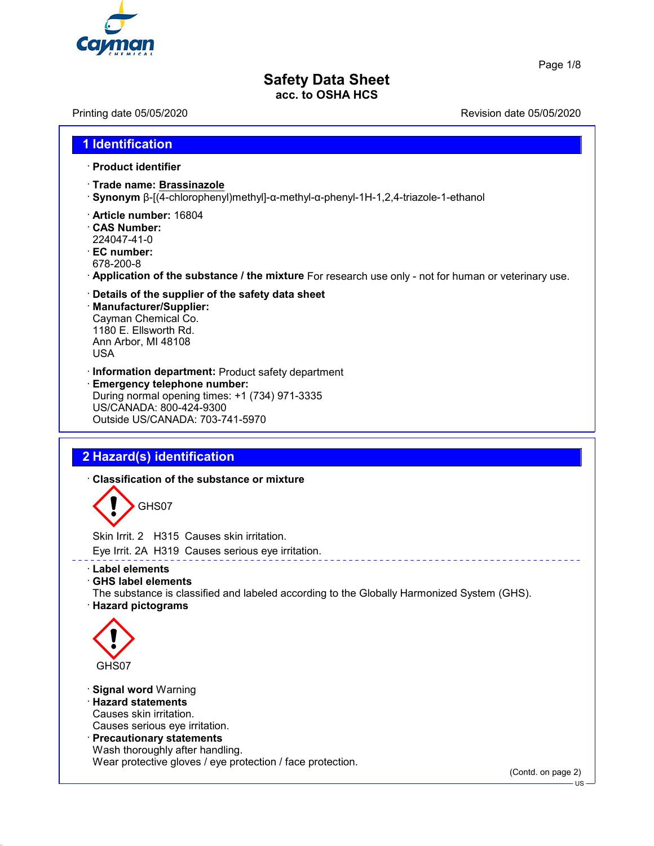

Page 1/8

# **Safety Data Sheet acc. to OSHA HCS**

Printing date 05/05/2020 **Revision date 05/05/2020** 

# **1 Identification** · **Product identifier** · **Trade name: Brassinazole** · **Synonym** β-[(4-chlorophenyl)methyl]-α-methyl-α-phenyl-1H-1,2,4-triazole-1-ethanol · **Article number:** 16804 · **CAS Number:** 224047-41-0 · **EC number:** 678-200-8 · **Application of the substance / the mixture** For research use only - not for human or veterinary use. · **Details of the supplier of the safety data sheet** · **Manufacturer/Supplier:** Cayman Chemical Co. 1180 E. Ellsworth Rd. Ann Arbor, MI 48108 USA · **Information department:** Product safety department · **Emergency telephone number:** During normal opening times: +1 (734) 971-3335 US/CANADA: 800-424-9300 Outside US/CANADA: 703-741-5970 **2 Hazard(s) identification** · **Classification of the substance or mixture** GHS07 Skin Irrit. 2 H315 Causes skin irritation. Eye Irrit. 2A H319 Causes serious eye irritation. · **Label elements** · **GHS label elements** The substance is classified and labeled according to the Globally Harmonized System (GHS). · **Hazard pictograms**  $\langle \cdot \rangle$ GHS07 · **Signal word** Warning · **Hazard statements** Causes skin irritation. Causes serious eye irritation. · **Precautionary statements** Wash thoroughly after handling. Wear protective gloves / eye protection / face protection. (Contd. on page 2) US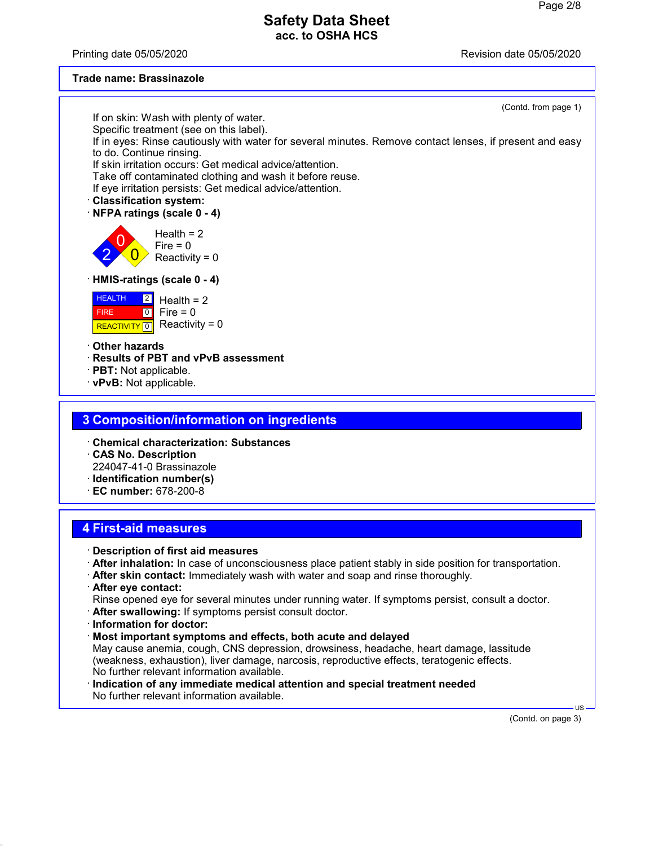Printing date 05/05/2020 **Review Accord 2012** Revision date 05/05/2020

#### **Trade name: Brassinazole**

(Contd. from page 1) If on skin: Wash with plenty of water. Specific treatment (see on this label). If in eyes: Rinse cautiously with water for several minutes. Remove contact lenses, if present and easy to do. Continue rinsing. If skin irritation occurs: Get medical advice/attention. Take off contaminated clothing and wash it before reuse. If eye irritation persists: Get medical advice/attention. · **Classification system:** · **NFPA ratings (scale 0 - 4)** 2 0  $\overline{\mathbf{0}}$ Health  $= 2$  $Fire = 0$ Reactivity =  $0$ · **HMIS-ratings (scale 0 - 4)** HEALTH FIRE <mark>| REACTIVITY</mark> | 0  $\boxed{2}$  $\boxed{0}$ Health  $= 2$  $Fire = 0$ Reactivity =  $0$ · **Other hazards** · **Results of PBT and vPvB assessment** · **PBT:** Not applicable. · **vPvB:** Not applicable. **3 Composition/information on ingredients** · **Chemical characterization: Substances** · **CAS No. Description** 224047-41-0 Brassinazole

- · **Identification number(s)**
- · **EC number:** 678-200-8

## **4 First-aid measures**

- · **Description of first aid measures**
- · **After inhalation:** In case of unconsciousness place patient stably in side position for transportation.
- · **After skin contact:** Immediately wash with water and soap and rinse thoroughly.
- · **After eye contact:**
- Rinse opened eye for several minutes under running water. If symptoms persist, consult a doctor.
- · **After swallowing:** If symptoms persist consult doctor.
- · **Information for doctor:**
- · **Most important symptoms and effects, both acute and delayed** May cause anemia, cough, CNS depression, drowsiness, headache, heart damage, lassitude (weakness, exhaustion), liver damage, narcosis, reproductive effects, teratogenic effects. No further relevant information available.
- · **Indication of any immediate medical attention and special treatment needed** No further relevant information available.

(Contd. on page 3)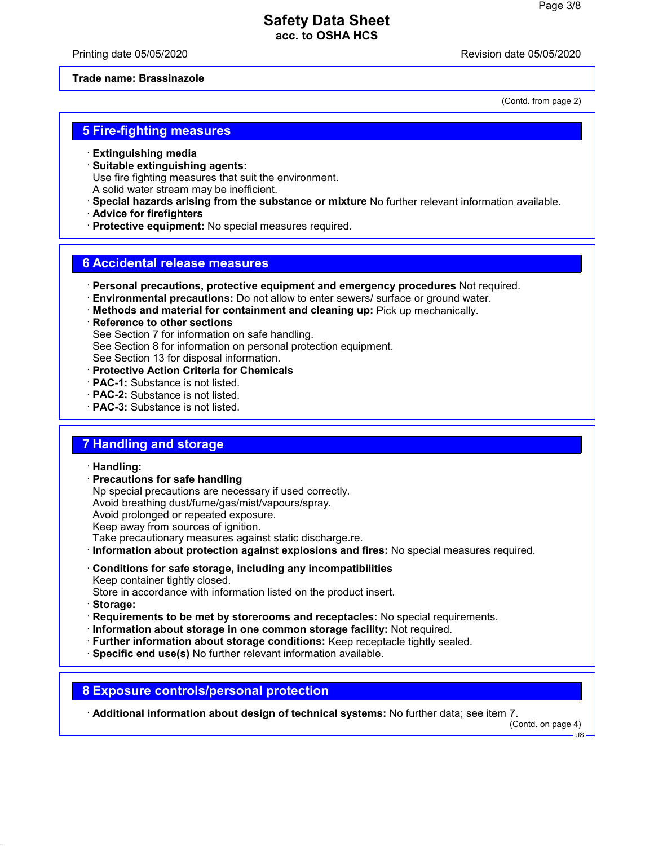Printing date 05/05/2020 **Review Accord 2012** Revision date 05/05/2020

#### **Trade name: Brassinazole**

(Contd. from page 2)

#### **5 Fire-fighting measures**

- · **Extinguishing media**
- · **Suitable extinguishing agents:** Use fire fighting measures that suit the environment. A solid water stream may be inefficient.
- · **Special hazards arising from the substance or mixture** No further relevant information available.
- · **Advice for firefighters**
- · **Protective equipment:** No special measures required.

#### **6 Accidental release measures**

- · **Personal precautions, protective equipment and emergency procedures** Not required.
- · **Environmental precautions:** Do not allow to enter sewers/ surface or ground water.
- · **Methods and material for containment and cleaning up:** Pick up mechanically.
- · **Reference to other sections** See Section 7 for information on safe handling. See Section 8 for information on personal protection equipment. See Section 13 for disposal information. · **Protective Action Criteria for Chemicals**
- · **PAC-1:** Substance is not listed.
- · **PAC-2:** Substance is not listed.
- · **PAC-3:** Substance is not listed.

#### **7 Handling and storage**

#### · **Handling:**

· **Precautions for safe handling**

Np special precautions are necessary if used correctly. Avoid breathing dust/fume/gas/mist/vapours/spray. Avoid prolonged or repeated exposure. Keep away from sources of ignition. Take precautionary measures against static discharge.re.

- · **Information about protection against explosions and fires:** No special measures required.
- · **Conditions for safe storage, including any incompatibilities** Keep container tightly closed.
- Store in accordance with information listed on the product insert.
- · **Storage:**
- · **Requirements to be met by storerooms and receptacles:** No special requirements.
- · **Information about storage in one common storage facility:** Not required.
- · **Further information about storage conditions:** Keep receptacle tightly sealed.
- · **Specific end use(s)** No further relevant information available.

#### **8 Exposure controls/personal protection**

· **Additional information about design of technical systems:** No further data; see item 7.

(Contd. on page 4)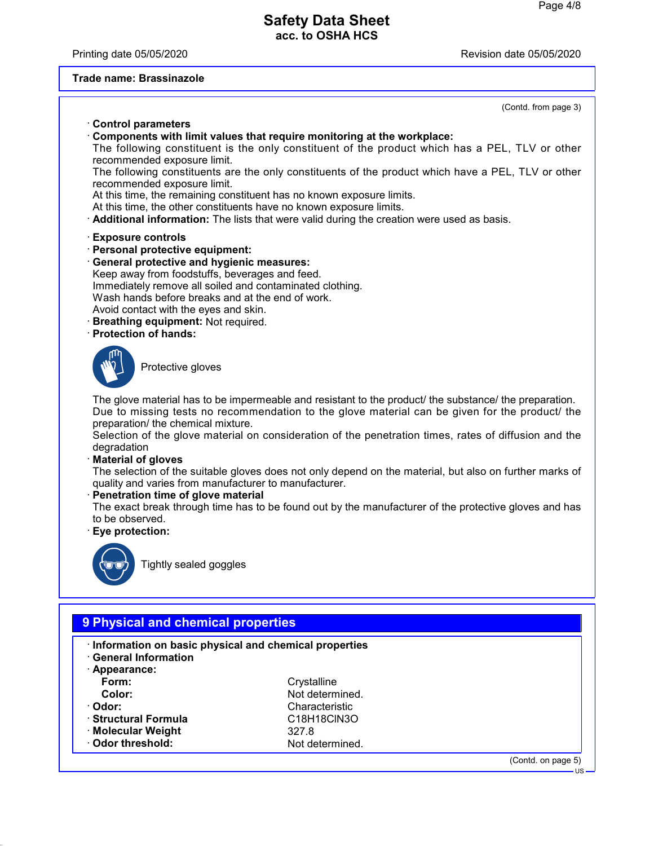Printing date 05/05/2020 **Review Accord 2012** Revision date 05/05/2020

#### **Trade name: Brassinazole**

# (Contd. from page 3) · **Control parameters** · **Components with limit values that require monitoring at the workplace:** The following constituent is the only constituent of the product which has a PEL, TLV or other recommended exposure limit. The following constituents are the only constituents of the product which have a PEL, TLV or other recommended exposure limit. At this time, the remaining constituent has no known exposure limits. At this time, the other constituents have no known exposure limits. · **Additional information:** The lists that were valid during the creation were used as basis. · **Exposure controls** · **Personal protective equipment:** · **General protective and hygienic measures:** Keep away from foodstuffs, beverages and feed. Immediately remove all soiled and contaminated clothing. Wash hands before breaks and at the end of work. Avoid contact with the eyes and skin. · **Breathing equipment:** Not required. · **Protection of hands:** Protective gloves The glove material has to be impermeable and resistant to the product/ the substance/ the preparation. Due to missing tests no recommendation to the glove material can be given for the product/ the preparation/ the chemical mixture. Selection of the glove material on consideration of the penetration times, rates of diffusion and the degradation · **Material of gloves** The selection of the suitable gloves does not only depend on the material, but also on further marks of quality and varies from manufacturer to manufacturer. · **Penetration time of glove material** The exact break through time has to be found out by the manufacturer of the protective gloves and has to be observed. · **Eye protection:** Tightly sealed goggles

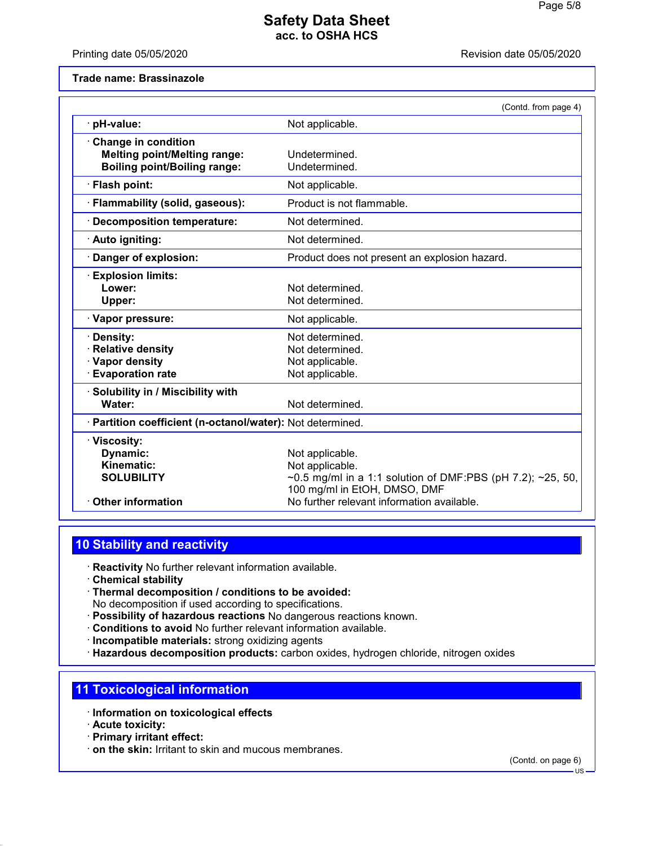Printing date 05/05/2020 **Revision date 05/05/2020** 

#### **Trade name: Brassinazole**

|                                                                                                     | (Contd. from page 4)                                                                                                             |
|-----------------------------------------------------------------------------------------------------|----------------------------------------------------------------------------------------------------------------------------------|
| pH-value:                                                                                           | Not applicable.                                                                                                                  |
| · Change in condition<br><b>Melting point/Melting range:</b><br><b>Boiling point/Boiling range:</b> | Undetermined.<br>Undetermined.                                                                                                   |
| · Flash point:                                                                                      | Not applicable.                                                                                                                  |
| · Flammability (solid, gaseous):                                                                    | Product is not flammable.                                                                                                        |
| Decomposition temperature:                                                                          | Not determined.                                                                                                                  |
| · Auto igniting:                                                                                    | Not determined.                                                                                                                  |
| · Danger of explosion:                                                                              | Product does not present an explosion hazard.                                                                                    |
| <b>Explosion limits:</b><br>Lower:<br>Upper:                                                        | Not determined.<br>Not determined.                                                                                               |
| · Vapor pressure:                                                                                   | Not applicable.                                                                                                                  |
| Density:<br><b>Relative density</b><br>· Vapor density<br><b>Evaporation rate</b>                   | Not determined.<br>Not determined.<br>Not applicable.<br>Not applicable.                                                         |
| · Solubility in / Miscibility with<br>Water:                                                        | Not determined.                                                                                                                  |
| · Partition coefficient (n-octanol/water): Not determined.                                          |                                                                                                                                  |
| · Viscosity:<br>Dynamic:<br>Kinematic:<br><b>SOLUBILITY</b>                                         | Not applicable.<br>Not applicable.<br>~0.5 mg/ml in a 1:1 solution of DMF:PBS (pH 7.2); ~25, 50,<br>100 mg/ml in EtOH, DMSO, DMF |
| <b>Other information</b>                                                                            | No further relevant information available.                                                                                       |

# **10 Stability and reactivity**

· **Reactivity** No further relevant information available.

- · **Chemical stability**
- · **Thermal decomposition / conditions to be avoided:** No decomposition if used according to specifications.
- · **Possibility of hazardous reactions** No dangerous reactions known.
- · **Conditions to avoid** No further relevant information available.
- · **Incompatible materials:** strong oxidizing agents
- · **Hazardous decomposition products:** carbon oxides, hydrogen chloride, nitrogen oxides

## **11 Toxicological information**

- · **Information on toxicological effects**
- · **Acute toxicity:**
- · **Primary irritant effect:**
- · **on the skin:** Irritant to skin and mucous membranes.

(Contd. on page 6)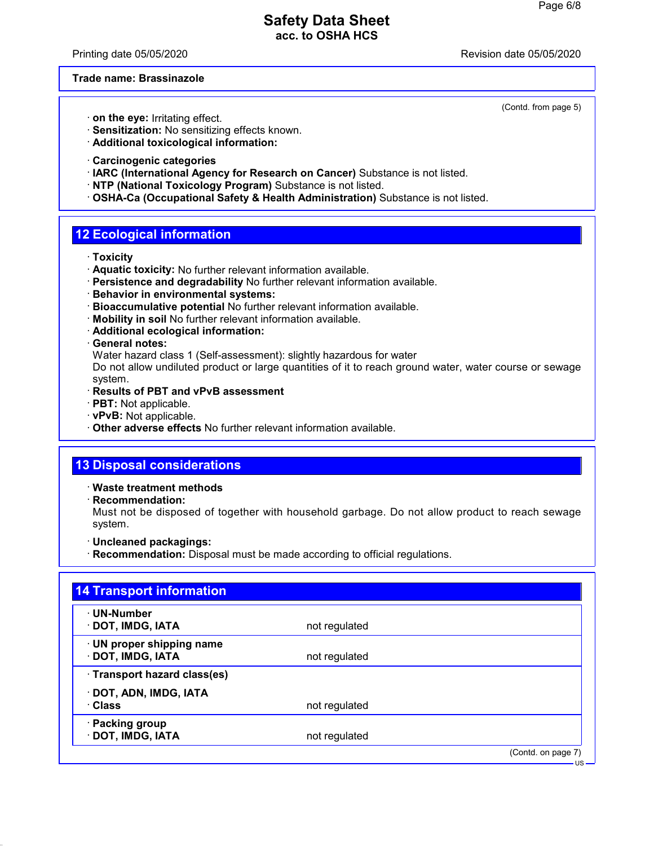Printing date 05/05/2020 **Review Accord 2012** Revision date 05/05/2020

(Contd. from page 5)

#### **Trade name: Brassinazole**

- · **on the eye:** Irritating effect.
- · **Sensitization:** No sensitizing effects known.
- · **Additional toxicological information:**
- · **Carcinogenic categories**
- · **IARC (International Agency for Research on Cancer)** Substance is not listed.
- · **NTP (National Toxicology Program)** Substance is not listed.
- · **OSHA-Ca (Occupational Safety & Health Administration)** Substance is not listed.

### **12 Ecological information**

- · **Toxicity**
- · **Aquatic toxicity:** No further relevant information available.
- · **Persistence and degradability** No further relevant information available.
- · **Behavior in environmental systems:**
- · **Bioaccumulative potential** No further relevant information available.
- · **Mobility in soil** No further relevant information available.
- · **Additional ecological information:**
- · **General notes:**

Water hazard class 1 (Self-assessment): slightly hazardous for water

Do not allow undiluted product or large quantities of it to reach ground water, water course or sewage system.

- · **Results of PBT and vPvB assessment**
- · **PBT:** Not applicable.
- · **vPvB:** Not applicable.
- · **Other adverse effects** No further relevant information available.

#### **13 Disposal considerations**

· **Waste treatment methods**

· **Recommendation:**

Must not be disposed of together with household garbage. Do not allow product to reach sewage system.

- · **Uncleaned packagings:**
- · **Recommendation:** Disposal must be made according to official regulations.

| · UN-Number                  |               |  |
|------------------------------|---------------|--|
| · DOT, IMDG, IATA            | not regulated |  |
| · UN proper shipping name    |               |  |
| · DOT, IMDG, IATA            | not regulated |  |
| · Transport hazard class(es) |               |  |
| · DOT, ADN, IMDG, IATA       |               |  |
| · Class                      | not regulated |  |
| · Packing group              |               |  |
| · DOT, IMDG, IATA            | not regulated |  |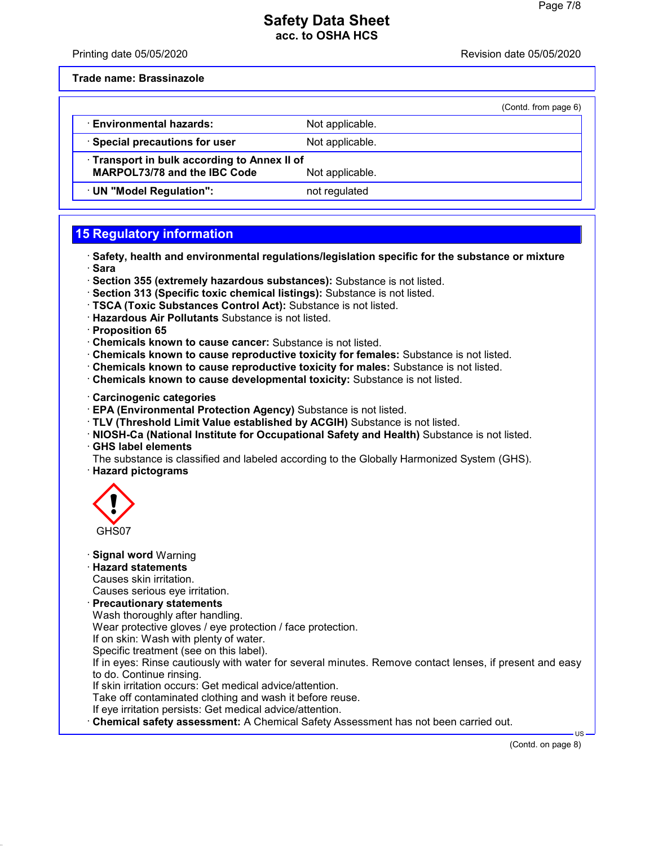Printing date 05/05/2020 **Review Accord 2012** Revision date 05/05/2020

**Trade name: Brassinazole**

|                                                                                   |                 | (Contd. from page 6) |
|-----------------------------------------------------------------------------------|-----------------|----------------------|
| <b>Environmental hazards:</b>                                                     | Not applicable. |                      |
| · Special precautions for user                                                    | Not applicable. |                      |
| Transport in bulk according to Annex II of<br><b>MARPOL73/78 and the IBC Code</b> | Not applicable. |                      |
| UN "Model Regulation":                                                            | not regulated   |                      |

# **15 Regulatory information**

- · **Safety, health and environmental regulations/legislation specific for the substance or mixture** · **Sara**
- · **Section 355 (extremely hazardous substances):** Substance is not listed.
- · **Section 313 (Specific toxic chemical listings):** Substance is not listed.
- · **TSCA (Toxic Substances Control Act):** Substance is not listed.
- · **Hazardous Air Pollutants** Substance is not listed.
- · **Proposition 65**
- · **Chemicals known to cause cancer:** Substance is not listed.
- · **Chemicals known to cause reproductive toxicity for females:** Substance is not listed.
- · **Chemicals known to cause reproductive toxicity for males:** Substance is not listed.
- · **Chemicals known to cause developmental toxicity:** Substance is not listed.
- · **Carcinogenic categories**
- · **EPA (Environmental Protection Agency)** Substance is not listed.
- · **TLV (Threshold Limit Value established by ACGIH)** Substance is not listed.
- · **NIOSH-Ca (National Institute for Occupational Safety and Health)** Substance is not listed. · **GHS label elements**
- The substance is classified and labeled according to the Globally Harmonized System (GHS). · **Hazard pictograms**



· **Signal word** Warning

· **Hazard statements**

Causes skin irritation. Causes serious eye irritation.

· **Precautionary statements**

Wash thoroughly after handling.

Wear protective gloves / eye protection / face protection.

If on skin: Wash with plenty of water.

Specific treatment (see on this label).

If in eyes: Rinse cautiously with water for several minutes. Remove contact lenses, if present and easy to do. Continue rinsing.

If skin irritation occurs: Get medical advice/attention.

Take off contaminated clothing and wash it before reuse.

If eye irritation persists: Get medical advice/attention.

· **Chemical safety assessment:** A Chemical Safety Assessment has not been carried out.

(Contd. on page 8)